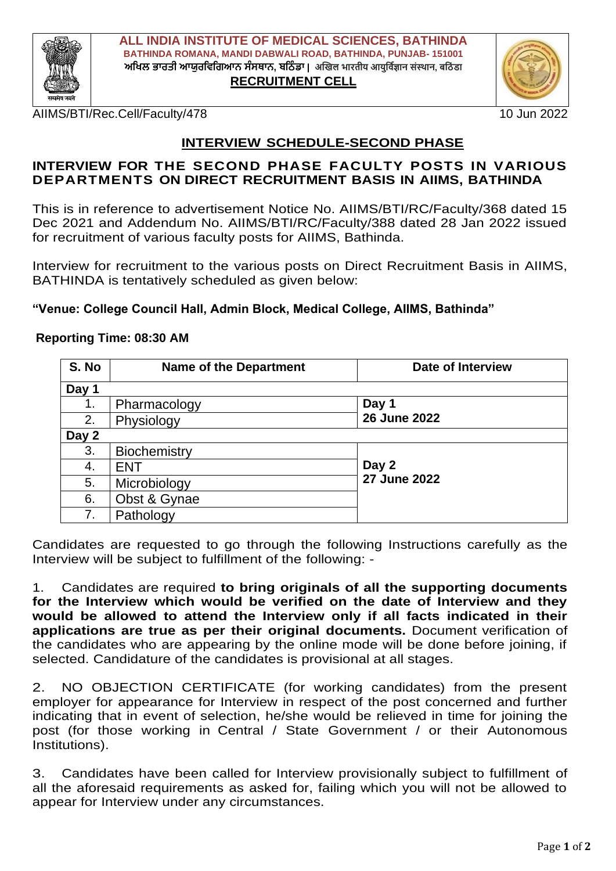

**ALL INDIA INSTITUTE OF MEDICAL SCIENCES, BATHINDA BATHINDA ROMANA, MANDI DABWALI ROAD, BATHINDA, PUNJAB- 151001**  $\blacksquare$ **ਅਖਿਲ ਭਾਰਤੀ ਆਯੁਰਵਿਗਿਆਨ ਸੰਸਥਾਨ, ਬਠਿੰਡਾ** | अखिल भारतीय आयुर्विज्ञान संस्थान, बठिंडा **RECRUITMENT CELL**

AIIMS/BTI/Rec.Cell/Faculty/478 10 Jun 2022

## **INTERVIEW SCHEDULE-SECOND PHASE**

## **INTERVIEW FOR THE SECOND PHASE FACULTY POSTS IN VARIOUS DEPARTMENTS ON DIRECT RECRUITMENT BASIS IN AIIMS, BATHINDA**

This is in reference to advertisement Notice No. AIIMS/BTI/RC/Faculty/368 dated 15 Dec 2021 and Addendum No. AIIMS/BTI/RC/Faculty/388 dated 28 Jan 2022 issued for recruitment of various faculty posts for AIIMS, Bathinda.

Interview for recruitment to the various posts on Direct Recruitment Basis in AIIMS, BATHINDA is tentatively scheduled as given below:

## **"Venue: College Council Hall, Admin Block, Medical College, AIIMS, Bathinda"**

## **Reporting Time: 08:30 AM**

| S. No | <b>Name of the Department</b> | <b>Date of Interview</b> |  |
|-------|-------------------------------|--------------------------|--|
| Day 1 |                               |                          |  |
| 1.    | Pharmacology                  | Day 1                    |  |
| 2.    | Physiology                    | 26 June 2022             |  |
| Day 2 |                               |                          |  |
| 3.    | Biochemistry                  |                          |  |
| 4.    | <b>ENT</b>                    | Day 2                    |  |
| 5.    | Microbiology                  | <b>27 June 2022</b>      |  |
| 6.    | Obst & Gynae                  |                          |  |
| 7.    | Pathology                     |                          |  |

Candidates are requested to go through the following Instructions carefully as the Interview will be subject to fulfillment of the following: -

1. Candidates are required **to bring originals of all the supporting documents for the Interview which would be verified on the date of Interview and they would be allowed to attend the Interview only if all facts indicated in their applications are true as per their original documents.** Document verification of the candidates who are appearing by the online mode will be done before joining, if selected. Candidature of the candidates is provisional at all stages.

2. NO OBJECTION CERTIFICATE (for working candidates) from the present employer for appearance for Interview in respect of the post concerned and further indicating that in event of selection, he/she would be relieved in time for joining the post (for those working in Central / State Government / or their Autonomous Institutions).

3. Candidates have been called for Interview provisionally subject to fulfillment of all the aforesaid requirements as asked for, failing which you will not be allowed to appear for Interview under any circumstances.